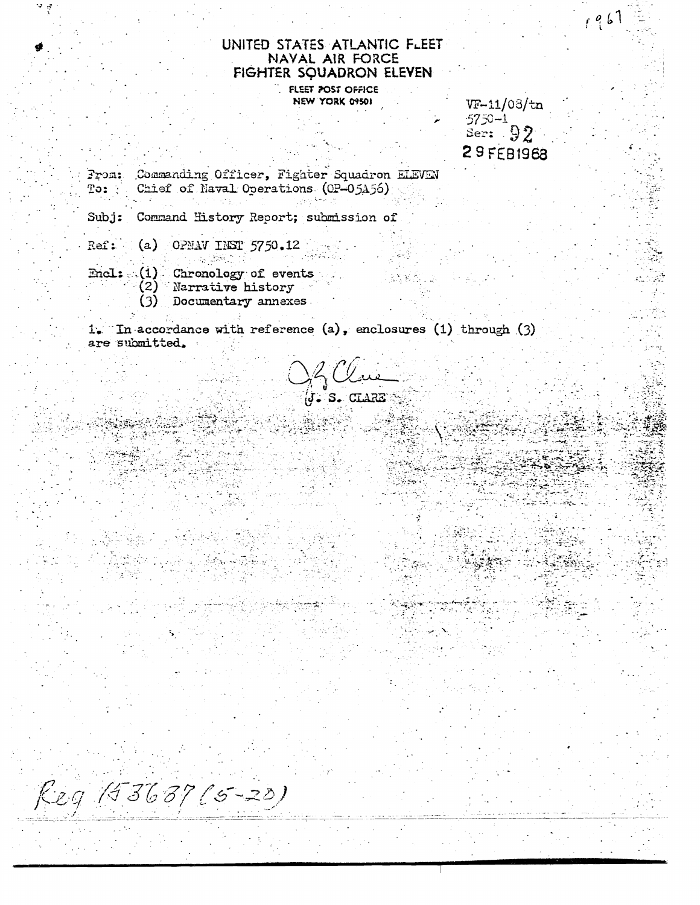## UNITED STATES ATLANTIC FLEET NAVAL AIR FORCE FIGHTER SQUADRON ELEVEN

FLEET POST OFFICE NEW YORK 09501

 $VF-11/03/tn$  $5750 - 1$ Ser:  $92$ 29 FEB1968  $1961$ 

Commanding Officer, Fighter Squadron ELEVEN From: Chief of Naval Operations (OP-05A56) To:

Command History Report; submission of  $Sub$  $i:$ 

- (a) OPMAV INST  $5750.12$ Ref:
	-
- Encl: (1) Chronology of events (2) Narrative history
	- $(3)$  Documentary annexes
	-

1. In accordance with reference (a), enclosures (1) through (3) are submitted.

02*0au*<br>76. s. cisare

Reg 193637 (5-20)

家庭。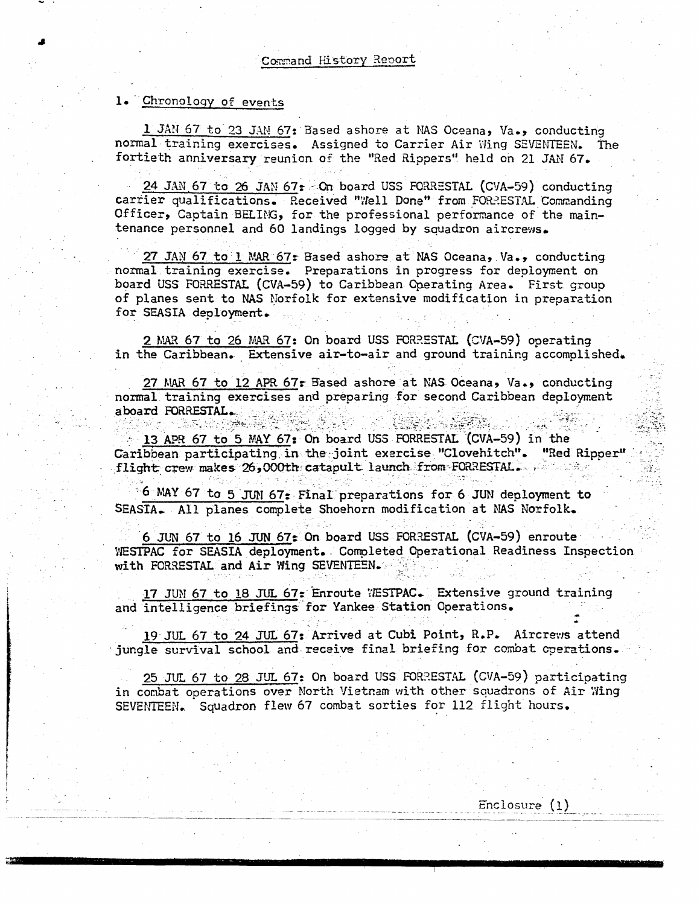## 1. Chronology of events

1 JAN 67 to 23 JAN 67: Based ashore at NAS Oceana, Va., conducting normal training exercises. Assigned to Carrier Air Wing SEVENTEEN. The fortieth anniversary reunion of the "Red Rippers" held on 21 JAN 67.

24 JAN 67 to 26 JAN 67: On board USS FORRESTAL (CVA-59) conducting carrier qualifications. Received "Well Done" from FORRESTAL Commanding Officer, Captain BELING, for the professional performance of the maintenance personnel and 60 landings logged by squadron aircrews.

27 JAN 67 to 1 MAR 67: Based ashore at NAS Oceana, Va., conducting normal training exercise. Preparations in progress for deployment on board USS FORRESTAL (CVA-59) to Caribbean Operating Area. First group of planes sent to NAS Norfolk for extensive modification in preparation for SEASIA deployment.

2 MAR 67 to 26 MAR 67: On board USS FORRESTAL (CVA-59) operating in the Caribbean. Extensive air-to-air and ground training accomplished.

27 MAR 67 to 12 APR 67: Based ashore at NAS Oceana, Va., conducting normal training exercises and preparing for second Caribbean deployment aboard FORRESTAL.

13 APR 67 to 5 MAY 67: On board USS FORRESTAL (CVA-59) in the Caribbean participating in the joint exercise "Clovehitch". "Red Ripper" flight crew makes 26,000th catapult launch from FORRESTAL.

6 MAY 67 to 5 JUN 67: Final preparations for 6 JUN deployment to SEASIA. All planes complete Shoehorn modification at NAS Norfolk.

6 JUN 67 to 16 JUN 67: On board USS FORRESTAL (CVA-59) enroute WESTPAC for SEASIA deployment. Completed Operational Readiness Inspection with FORRESTAL and Air Wing SEVENTEEN.

17 JUN 67 to 18 JUL 67: Enroute VESTPAC. Extensive ground training and intelligence briefings for Yankee Station Operations.

19 JUL 67 to 24 JUL 67: Arrived at Cubi Point, R.P. Aircrews attend jungle survival school and receive final briefing for combat operations.

25 JUL 67 to 28 JUL 67: On board USS FORRESTAL (CVA-59) participating in combat operations over North Vietnam with other squadrons of Air Wing SEVENTEEN. Squadron flew 67 combat sorties for 112 flight hours.

 $Enclosure(1)$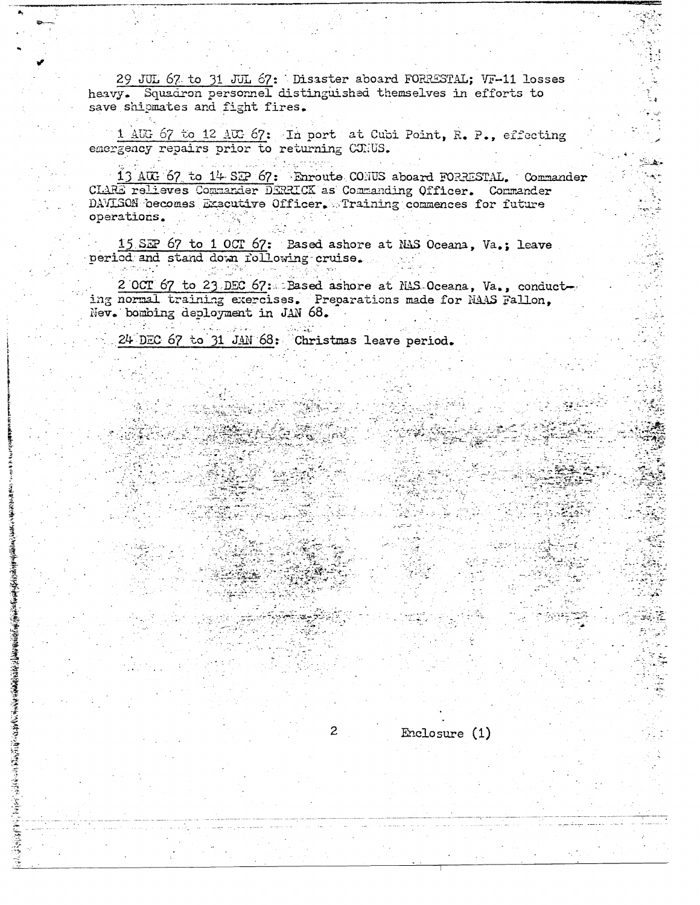29 JUL 67 to 31 JUL 67: Disaster aboard FORRESTAL; VF-11 losses heavy. Squadron personnel distinguished themselves in efforts to save shipmates and fight fires.

1 AUG 67 to 12 AUG 67: In port at Cubi Point, R. P., effecting emergency repairs prior to returning CORUS.

13 AUG 67 to 14 SEP 67: Enroute CONUS aboard FORRESTAL. Commander CLARE relieves Commander DERRICK as Commanding Officer. Commander DAVISON becomes Exacutive Officer. Training commences for future operations.

15 SEP 67 to 1 OCT 67: Based ashore at NAS Oceana, Va.; leave period and stand down following cruise.

2 OCT 67 to 23 DEC 67: Based ashore at NAS Oceana, Va., conducting normal training exercises. Preparations made for NAAS Fallon, Nev. bombing deployment in JAN 68.

 $\overline{2}$ 

 $Enclosure(1)$ 

24 DEC 67 to 31 JAN 68: Christmas leave period.

film a str

古法法 電話の場合は「大家は安全法の女のことのことには、そうない。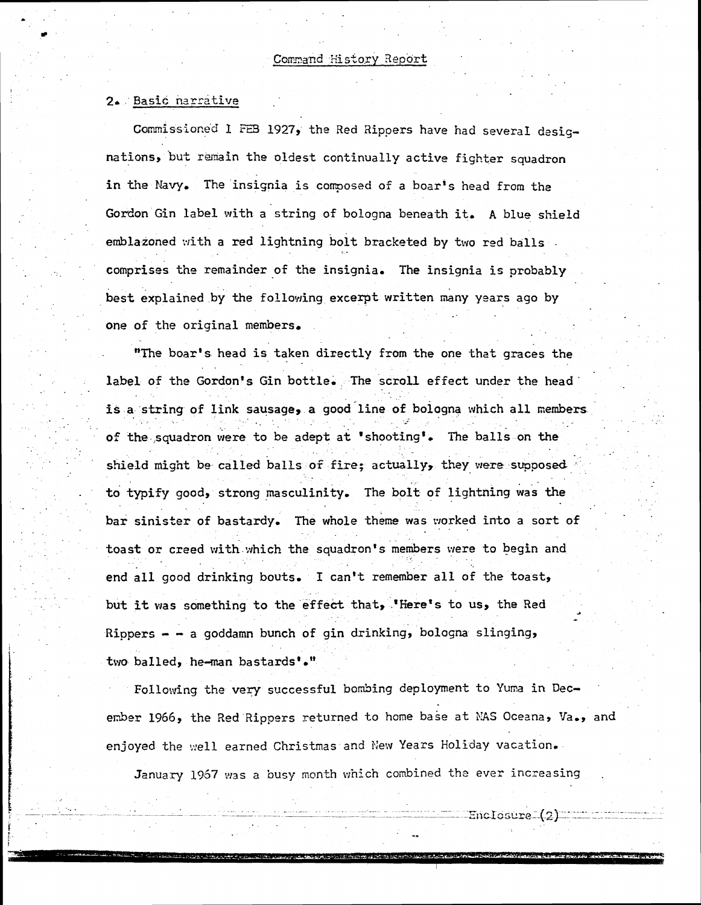## 2. Basic narrative

Commissioned 1 FEB 1927, the Red Rippers have had several designations, but remain the oldest continually active fighter squadron in the Navy. The insignia is composed of a boar's head from the Gordon Gin label with a string of bologna beneath it. A blue shield emblazoned with a red lightning bolt bracketed by two red balls. comprises the remainder of the insignia. The insignia is probably best explained by the following excerpt written many years ago by one of the original members.

"The boar's head is taken directly from the one that graces the label of the Gordon's Gin bottle. The scroll effect under the head is a string of link sausage, a good line of bologna which all members of the squadron were to be adept at 'shooting'. The balls on the shield might be called balls of fire; actually, they were supposed to typify good, strong masculinity. The bolt of lightning was the bar sinister of bastardy. The whole theme was worked into a sort of toast or creed with which the squadron's members were to begin and end all good drinking bouts. I can't remember all of the toast, but it was something to the effect that, "Here's to us, the Red Rippers - - a goddamn bunch of gin drinking, bologna slinging, two balled, he-man bastards'."

Following the very successful bombing deployment to Yuma in December 1966, the Red Rippers returned to home base at NAS Oceana, Va., and enjoyed the well earned Christmas and New Years Holiday vacation.

January 1967 was a busy month which combined the ever increasing

 $\frac{1}{2}$ nctosiume " (2)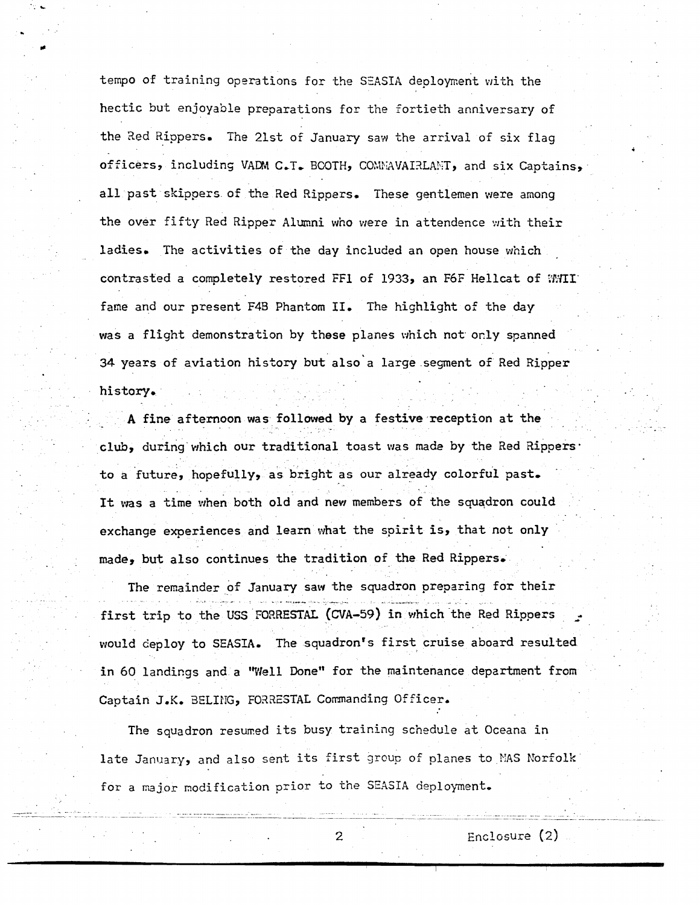tempo of training operations for the SEASIA deployment with the hectic **but** enjoyable preparations for the fortieth anniversary of the 3ed Rippers. The 21st of January saw the arrival of six flag<br>officers, including VADM C.T. BCOTH, COMMAVAI3LAMT, and six Captains, all past **skippers** of the Red Rippers. These gentlemen were anang the over fifty Red Ripper Alumni who were in attendence with their **ladies.** The activities of tine **day** included an open house which contrasted a completely restored FF1 of 1933, an F6F Hellcat of WMII' fame and our present **F4I3** Phantom **11.** The highlight of the day **was** a flight demonstration **by** these planes which not **orly** spanned 34 years of aviation history **but** also'a large seqnent of Red Ripper hi story.

**A fine** afternoon **was** followed by a festive reception at the **club,** during which our traditional toast **was made** by the Bed **aippers**to a future, hopefully, as **bright** as our already colorful **past.** - It was a time when both old and new members of the squadron could exchange experiences and learn what the spirit is, that not only **made\*** but also continues **'he** tradition of **the** Red Rippers,

The remainder of January saw the squadron preparing for their first trip to the **USS FOFRESTAL (WA-59)** in which the **Red** Rippers = would deploy to SEASIA. **The** squadron's first cruise aboard **resulted**  in 60 landings and a "Well **Done"** for the maintenance **depzrtment** from Captain **J.K.** 3ELIPiG, **FOXESTAL** Cormanding Officer.

The squadron resumed its busy training schedule at Oceana in late January, and also sent its first group of planes to MAS Norfolk for a major modification prior to the SEASIA deployment.

--

- -.

- -- . -. - . . -- - ---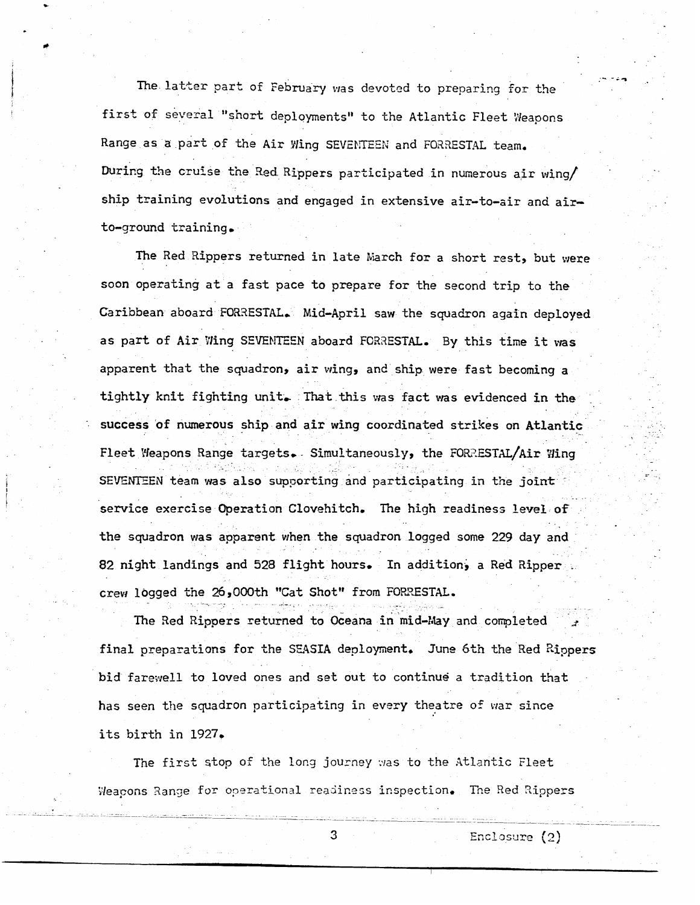The latter part of February was devoted to preparing for the first of several "short deployments" to the Atlantic Fleet Weapons Range as a part of the Air Wing SEVENTEEN and FORRESTAL team. During the cruise the Red Rippers participated in numerous air wing/ ship training evolutions and engaged in extensive air-to-air and airto-ground training.

The Red Rippers returned in late March for a short rest, but were soon operating at a fast pace to prepare for the second trip to the Caribbean aboard FORRESTAL. Mid-April saw the squadron again deployed as part of Air Wing SEVENTEEN aboard FORRESTAL. By this time it was apparent that the squadron, air wing, and ship were fast becoming a tightly knit fighting unit. That this was fact was evidenced in the success of numerous ship and air wing coordinated strikes on Atlantic Fleet Weapons Range targets. Simultaneously, the FORRESTAL/Air Wing SEVENTEEN team was also supporting and participating in the joint service exercise Operation Clovehitch. The high readiness level of the squadron was apparent when the squadron logged some 229 day and 82 night landings and 528 flight hours. In addition, a Red Ripper crew logged the 26,000th "Cat Shot" from FORRESTAL.

The Red Rippers returned to Oceana in mid-May and completed final preparations for the SEASIA deployment. June 6th the Red Rippers bid farewell to loved ones and set out to continue a tradition that has seen the squadron participating in every theatre of war since its birth in 1927.

The first stop of the long journey was to the Atlantic Fleet Weapons Range for operational readiness inspection. The Red Rippers

3

Enclosure (2)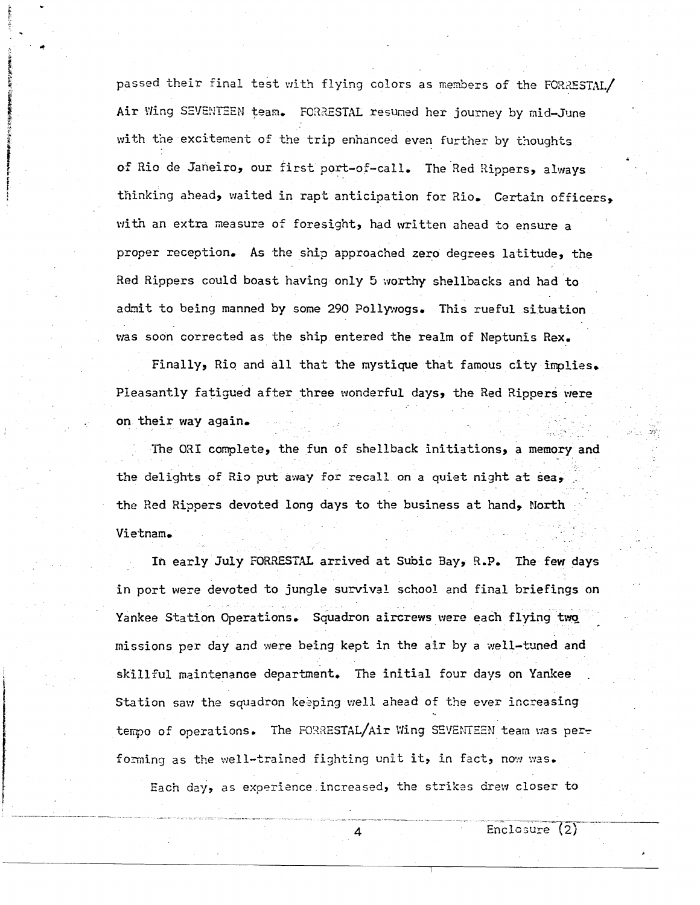passed their final test with flying colors as members of the FORRESTAL/ Air Wing SEVENTEEN team. FORRESTAL resumed her journey by mid-June with the excitement of the trip enhanced even further by thoughts **of** Rio de Janeiro, our **first** port-of-call. The Red fiippers, **always**  thinking ahead, waited in rapt anticipation for Rio. Certain officers, with an **extra** neasure of foresight, had mitten ahead to ensure a proper reception. **As** the ship approached zero degrees latitude, the Red Rippers could boast having only *5* xorthy shellbacks and had to adiiit to being manned by **some** 290 Pollytrogs. This rueful situation tns soon corrected as the ship entered **the** realm of Meptunis **Rex.** 

Finally, Rio and all that the **mystique** that famous **city inplies.**  Pleasantly **fatigued** after three wonderful days, the Red Rippers **vrere**  . on **their way** again.

The **031** complete, the fun of shellback initiations, a memory **and**  the delights of Rio put away for recall on a quiet night at sea, the Red Rippers devoted long days to the business at hand, North Vietnam.

In **early** July **FCIR3EST.4.L** arrived at Subic gay, **9.P. The fevr days**  in port **were** devoted to jungle su-ival school and final **briefings** on Yankee Station Operations. Squadron aircrews were each flying two missions per day and were being kept in the air by a well-tuned and skillful maintenance department. The initial four days on Yankee Station saw the squadron keeping well ahead of the ever increasing tempo of operations. The FORRESTAL/Air Wing SEVENTEEN team was performing as the well-trained fighting unit it, in fact, now was.

Each day, as experience increased, the strikes drew closer to

4

Enclosure  $(2)$ 

**4**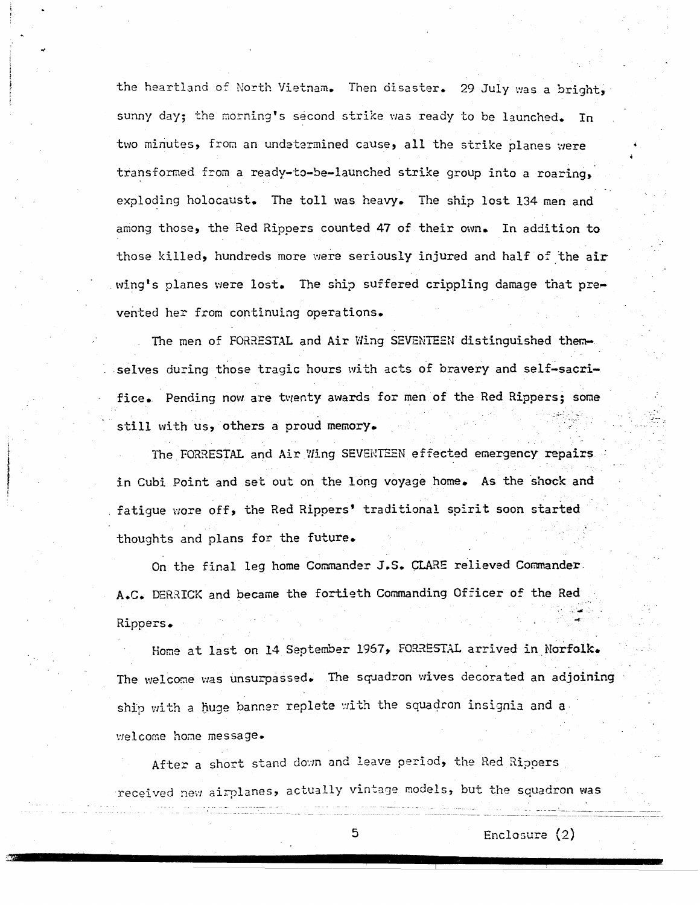the heartland of North Vietnam. Then disaster. 29 July was a bright, sunny day; the morning's second strike was ready to be launched. In two minutes, from an undetermined cause, all the strike planes were transformed from a ready-to-be-launched strike group into a roaring, exploding holocaust. The toll was heavy. The ship lost 134 men and among those, the Red Rippers counted 47 of their own. In addition to those killed, hundreds more were seriously injured and half of the air wing's planes were lost. The ship suffered crippling damage that prevented her from continuing operations.

The men of FORRESTAL and Air Wing SEVENTEEN distinguished themselves during those tragic hours with acts of bravery and self-sacrifice. Pending now are twenty awards for men of the Red Rippers; some still with us, others a proud memory.

The FORRESTAL and Air Wing SEVENTEEN effected emergency repairs in Cubi Point and set out on the long voyage home. As the shock and fatique wore off, the Red Rippers' traditional spirit soon started thoughts and plans for the future.

On the final leg home Commander J.S. CLARE relieved Commander. A.C. DERRICK and became the fortieth Commanding Officer of the Red Rippers.

Home at last on 14 September 1967, FORRESTAL arrived in Norfolk. The welcome was unsurpassed. The squadron wives decorated an adjoining ship with a huge banner replete with the squadron insignia and a welcome home message.

After a short stand down and leave period, the Red Rippers received new airplanes, actually vintage models, but the squadron was

5

Enclosure  $(2)$